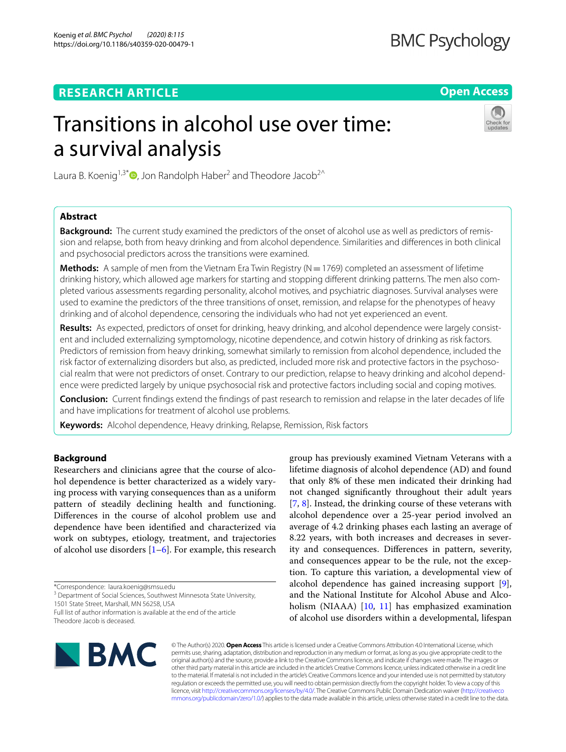## **RESEARCH ARTICLE**

**Open Access**

# Transitions in alcohol use over time: a survival analysis



Laura B. Koenig<sup>1[,](http://orcid.org/0000-0002-7789-8758)3\*</sup>  $\bullet$ , Jon Randolph Haber<sup>2</sup> and Theodore Jacob<sup>2^</sup>

## **Abstract**

**Background:** The current study examined the predictors of the onset of alcohol use as well as predictors of remission and relapse, both from heavy drinking and from alcohol dependence. Similarities and diferences in both clinical and psychosocial predictors across the transitions were examined.

**Methods:** A sample of men from the Vietnam Era Twin Registry ( $N = 1769$ ) completed an assessment of lifetime drinking history, which allowed age markers for starting and stopping diferent drinking patterns. The men also completed various assessments regarding personality, alcohol motives, and psychiatric diagnoses. Survival analyses were used to examine the predictors of the three transitions of onset, remission, and relapse for the phenotypes of heavy drinking and of alcohol dependence, censoring the individuals who had not yet experienced an event.

**Results:** As expected, predictors of onset for drinking, heavy drinking, and alcohol dependence were largely consistent and included externalizing symptomology, nicotine dependence, and cotwin history of drinking as risk factors. Predictors of remission from heavy drinking, somewhat similarly to remission from alcohol dependence, included the risk factor of externalizing disorders but also, as predicted, included more risk and protective factors in the psychosocial realm that were not predictors of onset. Contrary to our prediction, relapse to heavy drinking and alcohol dependence were predicted largely by unique psychosocial risk and protective factors including social and coping motives.

**Conclusion:** Current fndings extend the fndings of past research to remission and relapse in the later decades of life and have implications for treatment of alcohol use problems.

**Keywords:** Alcohol dependence, Heavy drinking, Relapse, Remission, Risk factors

## **Background**

Researchers and clinicians agree that the course of alcohol dependence is better characterized as a widely varying process with varying consequences than as a uniform pattern of steadily declining health and functioning. Diferences in the course of alcohol problem use and dependence have been identifed and characterized via work on subtypes, etiology, treatment, and trajectories of alcohol use disorders  $[1-6]$  $[1-6]$ . For example, this research

\*Correspondence: laura.koenig@smsu.edu

<sup>3</sup> Department of Social Sciences, Southwest Minnesota State University,

1501 State Street, Marshall, MN 56258, USA

Full list of author information is available at the end of the article Theodore Jacob is deceased.

group has previously examined Vietnam Veterans with a lifetime diagnosis of alcohol dependence (AD) and found that only 8% of these men indicated their drinking had not changed signifcantly throughout their adult years [[7,](#page-10-2) [8\]](#page-10-3). Instead, the drinking course of these veterans with alcohol dependence over a 25-year period involved an average of 4.2 drinking phases each lasting an average of 8.22 years, with both increases and decreases in severity and consequences. Diferences in pattern, severity, and consequences appear to be the rule, not the exception. To capture this variation, a developmental view of alcohol dependence has gained increasing support [\[9](#page-10-4)], and the National Institute for Alcohol Abuse and Alcoholism (NIAAA) [[10,](#page-10-5) [11](#page-10-6)] has emphasized examination of alcohol use disorders within a developmental, lifespan



© The Author(s) 2020. **Open Access** This article is licensed under a Creative Commons Attribution 4.0 International License, which permits use, sharing, adaptation, distribution and reproduction in any medium or format, as long as you give appropriate credit to the original author(s) and the source, provide a link to the Creative Commons licence, and indicate if changes were made. The images or other third party material in this article are included in the article's Creative Commons licence, unless indicated otherwise in a credit line to the material. If material is not included in the article's Creative Commons licence and your intended use is not permitted by statutory regulation or exceeds the permitted use, you will need to obtain permission directly from the copyright holder. To view a copy of this licence, visit [http://creativecommons.org/licenses/by/4.0/.](http://creativecommons.org/licenses/by/4.0/) The Creative Commons Public Domain Dedication waiver ([http://creativeco](http://creativecommons.org/publicdomain/zero/1.0/) [mmons.org/publicdomain/zero/1.0/](http://creativecommons.org/publicdomain/zero/1.0/)) applies to the data made available in this article, unless otherwise stated in a credit line to the data.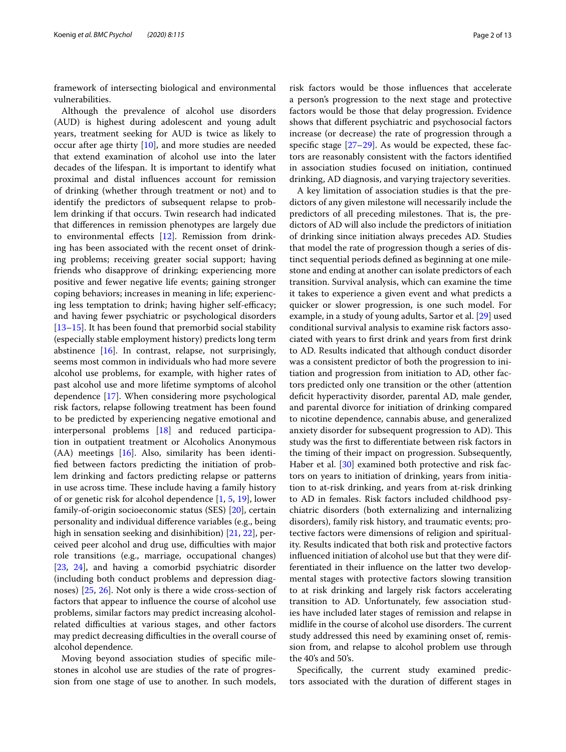framework of intersecting biological and environmental vulnerabilities.

Although the prevalence of alcohol use disorders (AUD) is highest during adolescent and young adult years, treatment seeking for AUD is twice as likely to occur after age thirty [\[10](#page-10-5)], and more studies are needed that extend examination of alcohol use into the later decades of the lifespan. It is important to identify what proximal and distal infuences account for remission of drinking (whether through treatment or not) and to identify the predictors of subsequent relapse to problem drinking if that occurs. Twin research had indicated that diferences in remission phenotypes are largely due to environmental effects [[12\]](#page-10-7). Remission from drinking has been associated with the recent onset of drinking problems; receiving greater social support; having friends who disapprove of drinking; experiencing more positive and fewer negative life events; gaining stronger coping behaviors; increases in meaning in life; experiencing less temptation to drink; having higher self-efficacy; and having fewer psychiatric or psychological disorders [[13–](#page-10-8)[15](#page-10-9)]. It has been found that premorbid social stability (especially stable employment history) predicts long term abstinence [[16\]](#page-11-0). In contrast, relapse, not surprisingly, seems most common in individuals who had more severe alcohol use problems, for example, with higher rates of past alcohol use and more lifetime symptoms of alcohol dependence [\[17](#page-11-1)]. When considering more psychological risk factors, relapse following treatment has been found to be predicted by experiencing negative emotional and interpersonal problems [\[18](#page-11-2)] and reduced participation in outpatient treatment or Alcoholics Anonymous (AA) meetings [\[16](#page-11-0)]. Also, similarity has been identifed between factors predicting the initiation of problem drinking and factors predicting relapse or patterns in use across time. These include having a family history of or genetic risk for alcohol dependence [\[1](#page-10-0), [5,](#page-10-10) [19\]](#page-11-3), lower family-of-origin socioeconomic status (SES) [[20\]](#page-11-4), certain personality and individual diference variables (e.g., being high in sensation seeking and disinhibition) [\[21,](#page-11-5) [22\]](#page-11-6), perceived peer alcohol and drug use, difficulties with major role transitions (e.g., marriage, occupational changes) [[23,](#page-11-7) [24](#page-11-8)], and having a comorbid psychiatric disorder (including both conduct problems and depression diagnoses) [[25,](#page-11-9) [26\]](#page-11-10). Not only is there a wide cross-section of factors that appear to infuence the course of alcohol use problems, similar factors may predict increasing alcoholrelated difficulties at various stages, and other factors may predict decreasing difficulties in the overall course of alcohol dependence.

Moving beyond association studies of specifc milestones in alcohol use are studies of the rate of progression from one stage of use to another. In such models, risk factors would be those infuences that accelerate a person's progression to the next stage and protective factors would be those that delay progression. Evidence shows that diferent psychiatric and psychosocial factors increase (or decrease) the rate of progression through a specific stage  $[27-29]$  $[27-29]$ . As would be expected, these factors are reasonably consistent with the factors identifed in association studies focused on initiation, continued drinking, AD diagnosis, and varying trajectory severities.

A key limitation of association studies is that the predictors of any given milestone will necessarily include the predictors of all preceding milestones. That is, the predictors of AD will also include the predictors of initiation of drinking since initiation always precedes AD. Studies that model the rate of progression though a series of distinct sequential periods defned as beginning at one milestone and ending at another can isolate predictors of each transition. Survival analysis, which can examine the time it takes to experience a given event and what predicts a quicker or slower progression, is one such model. For example, in a study of young adults, Sartor et al. [\[29](#page-11-12)] used conditional survival analysis to examine risk factors associated with years to frst drink and years from frst drink to AD. Results indicated that although conduct disorder was a consistent predictor of both the progression to initiation and progression from initiation to AD, other factors predicted only one transition or the other (attention deficit hyperactivity disorder, parental AD, male gender, and parental divorce for initiation of drinking compared to nicotine dependence, cannabis abuse, and generalized anxiety disorder for subsequent progression to AD). This study was the frst to diferentiate between risk factors in the timing of their impact on progression. Subsequently, Haber et al. [\[30\]](#page-11-13) examined both protective and risk factors on years to initiation of drinking, years from initiation to at-risk drinking, and years from at-risk drinking to AD in females. Risk factors included childhood psychiatric disorders (both externalizing and internalizing disorders), family risk history, and traumatic events; protective factors were dimensions of religion and spirituality. Results indicated that both risk and protective factors infuenced initiation of alcohol use but that they were differentiated in their infuence on the latter two developmental stages with protective factors slowing transition to at risk drinking and largely risk factors accelerating transition to AD. Unfortunately, few association studies have included later stages of remission and relapse in midlife in the course of alcohol use disorders. The current study addressed this need by examining onset of, remission from, and relapse to alcohol problem use through the 40's and 50's.

Specifcally, the current study examined predictors associated with the duration of diferent stages in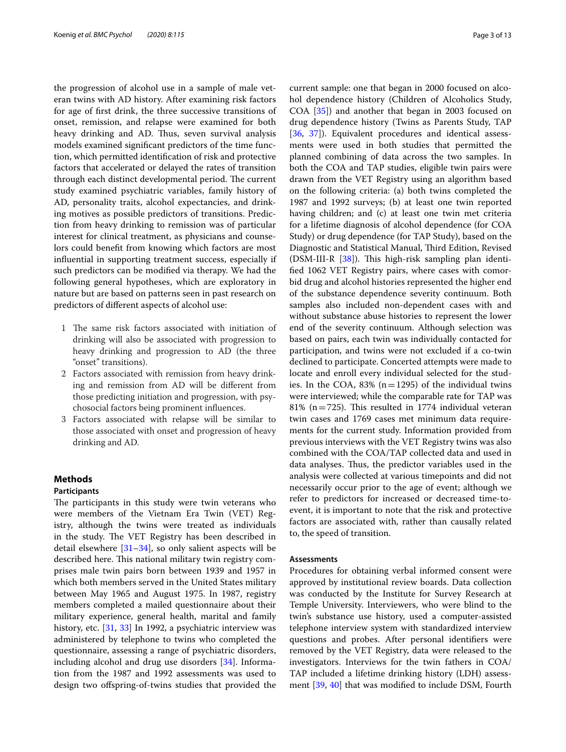the progression of alcohol use in a sample of male veteran twins with AD history. After examining risk factors for age of frst drink, the three successive transitions of onset, remission, and relapse were examined for both heavy drinking and AD. Thus, seven survival analysis models examined signifcant predictors of the time function, which permitted identifcation of risk and protective factors that accelerated or delayed the rates of transition through each distinct developmental period. The current study examined psychiatric variables, family history of AD, personality traits, alcohol expectancies, and drinking motives as possible predictors of transitions. Prediction from heavy drinking to remission was of particular interest for clinical treatment, as physicians and counselors could beneft from knowing which factors are most infuential in supporting treatment success, especially if such predictors can be modifed via therapy. We had the following general hypotheses, which are exploratory in nature but are based on patterns seen in past research on predictors of diferent aspects of alcohol use:

- 1 The same risk factors associated with initiation of drinking will also be associated with progression to heavy drinking and progression to AD (the three "onset" transitions).
- 2 Factors associated with remission from heavy drinking and remission from AD will be diferent from those predicting initiation and progression, with psychosocial factors being prominent infuences.
- 3 Factors associated with relapse will be similar to those associated with onset and progression of heavy drinking and AD.

## **Methods**

## **Participants**

The participants in this study were twin veterans who were members of the Vietnam Era Twin (VET) Registry, although the twins were treated as individuals in the study. The VET Registry has been described in detail elsewhere  $[31-34]$  $[31-34]$ , so only salient aspects will be described here. This national military twin registry comprises male twin pairs born between 1939 and 1957 in which both members served in the United States military between May 1965 and August 1975. In 1987, registry members completed a mailed questionnaire about their military experience, general health, marital and family history, etc. [[31,](#page-11-14) [33\]](#page-11-16) In 1992, a psychiatric interview was administered by telephone to twins who completed the questionnaire, assessing a range of psychiatric disorders, including alcohol and drug use disorders [[34\]](#page-11-15). Information from the 1987 and 1992 assessments was used to design two ofspring-of-twins studies that provided the current sample: one that began in 2000 focused on alcohol dependence history (Children of Alcoholics Study, COA [\[35](#page-11-17)]) and another that began in 2003 focused on drug dependence history (Twins as Parents Study, TAP [[36,](#page-11-18) [37](#page-11-19)]). Equivalent procedures and identical assessments were used in both studies that permitted the planned combining of data across the two samples. In both the COA and TAP studies, eligible twin pairs were drawn from the VET Registry using an algorithm based on the following criteria: (a) both twins completed the 1987 and 1992 surveys; (b) at least one twin reported having children; and (c) at least one twin met criteria for a lifetime diagnosis of alcohol dependence (for COA Study) or drug dependence (for TAP Study), based on the Diagnostic and Statistical Manual, Third Edition, Revised (DSM-III-R [\[38](#page-11-20)]). This high-risk sampling plan identifed 1062 VET Registry pairs, where cases with comorbid drug and alcohol histories represented the higher end of the substance dependence severity continuum. Both samples also included non-dependent cases with and without substance abuse histories to represent the lower end of the severity continuum. Although selection was based on pairs, each twin was individually contacted for participation, and twins were not excluded if a co-twin declined to participate. Concerted attempts were made to locate and enroll every individual selected for the studies. In the COA, 83% ( $n=1295$ ) of the individual twins were interviewed; while the comparable rate for TAP was 81% ( $n=725$ ). This resulted in 1774 individual veteran twin cases and 1769 cases met minimum data requirements for the current study. Information provided from previous interviews with the VET Registry twins was also combined with the COA/TAP collected data and used in data analyses. Thus, the predictor variables used in the analysis were collected at various timepoints and did not necessarily occur prior to the age of event; although we refer to predictors for increased or decreased time-toevent, it is important to note that the risk and protective factors are associated with, rather than causally related to, the speed of transition.

#### **Assessments**

Procedures for obtaining verbal informed consent were approved by institutional review boards. Data collection was conducted by the Institute for Survey Research at Temple University. Interviewers, who were blind to the twin's substance use history, used a computer-assisted telephone interview system with standardized interview questions and probes. After personal identifers were removed by the VET Registry, data were released to the investigators. Interviews for the twin fathers in COA/ TAP included a lifetime drinking history (LDH) assessment [\[39,](#page-11-21) [40\]](#page-11-22) that was modifed to include DSM, Fourth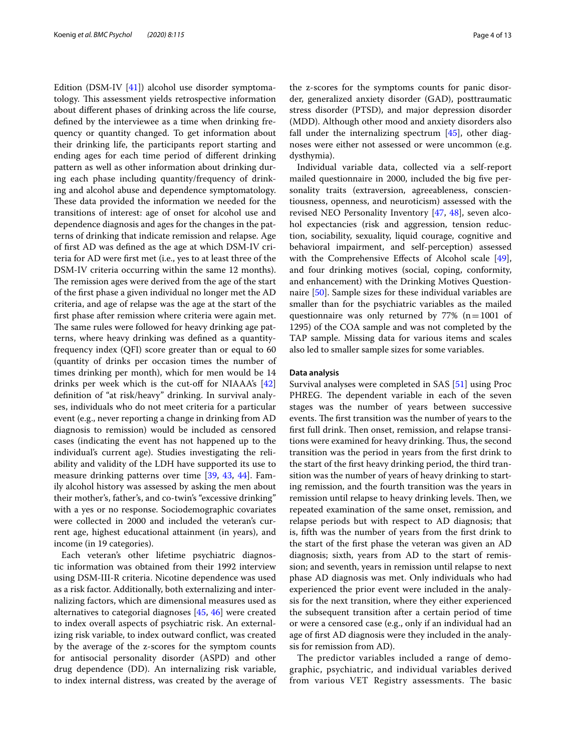Edition (DSM-IV [[41](#page-11-23)]) alcohol use disorder symptomatology. This assessment yields retrospective information about diferent phases of drinking across the life course, defned by the interviewee as a time when drinking frequency or quantity changed. To get information about their drinking life, the participants report starting and ending ages for each time period of diferent drinking pattern as well as other information about drinking during each phase including quantity/frequency of drinking and alcohol abuse and dependence symptomatology. These data provided the information we needed for the transitions of interest: age of onset for alcohol use and dependence diagnosis and ages for the changes in the patterns of drinking that indicate remission and relapse. Age of frst AD was defned as the age at which DSM-IV criteria for AD were frst met (i.e., yes to at least three of the DSM-IV criteria occurring within the same 12 months). The remission ages were derived from the age of the start of the frst phase a given individual no longer met the AD criteria, and age of relapse was the age at the start of the frst phase after remission where criteria were again met. The same rules were followed for heavy drinking age patterns, where heavy drinking was defned as a quantityfrequency index (QFI) score greater than or equal to 60 (quantity of drinks per occasion times the number of times drinking per month), which for men would be 14 drinks per week which is the cut-off for NIAAA's  $[42]$  $[42]$  $[42]$ defnition of "at risk/heavy" drinking. In survival analyses, individuals who do not meet criteria for a particular event (e.g., never reporting a change in drinking from AD diagnosis to remission) would be included as censored cases (indicating the event has not happened up to the individual's current age). Studies investigating the reliability and validity of the LDH have supported its use to measure drinking patterns over time [\[39](#page-11-21), [43](#page-11-25), [44](#page-11-26)]. Family alcohol history was assessed by asking the men about their mother's, father's, and co-twin's "excessive drinking" with a yes or no response. Sociodemographic covariates were collected in 2000 and included the veteran's current age, highest educational attainment (in years), and income (in 19 categories).

Each veteran's other lifetime psychiatric diagnostic information was obtained from their 1992 interview using DSM-III-R criteria. Nicotine dependence was used as a risk factor. Additionally, both externalizing and internalizing factors, which are dimensional measures used as alternatives to categorial diagnoses [\[45,](#page-11-27) [46\]](#page-11-28) were created to index overall aspects of psychiatric risk. An externalizing risk variable, to index outward confict, was created by the average of the z-scores for the symptom counts for antisocial personality disorder (ASPD) and other drug dependence (DD). An internalizing risk variable, to index internal distress, was created by the average of the z-scores for the symptoms counts for panic disorder, generalized anxiety disorder (GAD), posttraumatic stress disorder (PTSD), and major depression disorder (MDD). Although other mood and anxiety disorders also fall under the internalizing spectrum [[45](#page-11-27)], other diagnoses were either not assessed or were uncommon (e.g. dysthymia).

Individual variable data, collected via a self-report mailed questionnaire in 2000, included the big five personality traits (extraversion, agreeableness, conscientiousness, openness, and neuroticism) assessed with the revised NEO Personality Inventory [[47](#page-11-29), [48](#page-11-30)], seven alcohol expectancies (risk and aggression, tension reduction, sociability, sexuality, liquid courage, cognitive and behavioral impairment, and self-perception) assessed with the Comprehensive Effects of Alcohol scale [\[49](#page-11-31)], and four drinking motives (social, coping, conformity, and enhancement) with the Drinking Motives Questionnaire [\[50](#page-11-32)]. Sample sizes for these individual variables are smaller than for the psychiatric variables as the mailed questionnaire was only returned by  $77\%$  (n=1001 of 1295) of the COA sample and was not completed by the TAP sample. Missing data for various items and scales also led to smaller sample sizes for some variables.

#### **Data analysis**

Survival analyses were completed in SAS [\[51\]](#page-11-33) using Proc PHREG. The dependent variable in each of the seven stages was the number of years between successive events. The first transition was the number of years to the first full drink. Then onset, remission, and relapse transitions were examined for heavy drinking. Thus, the second transition was the period in years from the frst drink to the start of the frst heavy drinking period, the third transition was the number of years of heavy drinking to starting remission, and the fourth transition was the years in remission until relapse to heavy drinking levels. Then, we repeated examination of the same onset, remission, and relapse periods but with respect to AD diagnosis; that is, ffth was the number of years from the frst drink to the start of the frst phase the veteran was given an AD diagnosis; sixth, years from AD to the start of remission; and seventh, years in remission until relapse to next phase AD diagnosis was met. Only individuals who had experienced the prior event were included in the analysis for the next transition, where they either experienced the subsequent transition after a certain period of time or were a censored case (e.g., only if an individual had an age of frst AD diagnosis were they included in the analysis for remission from AD).

The predictor variables included a range of demographic, psychiatric, and individual variables derived from various VET Registry assessments. The basic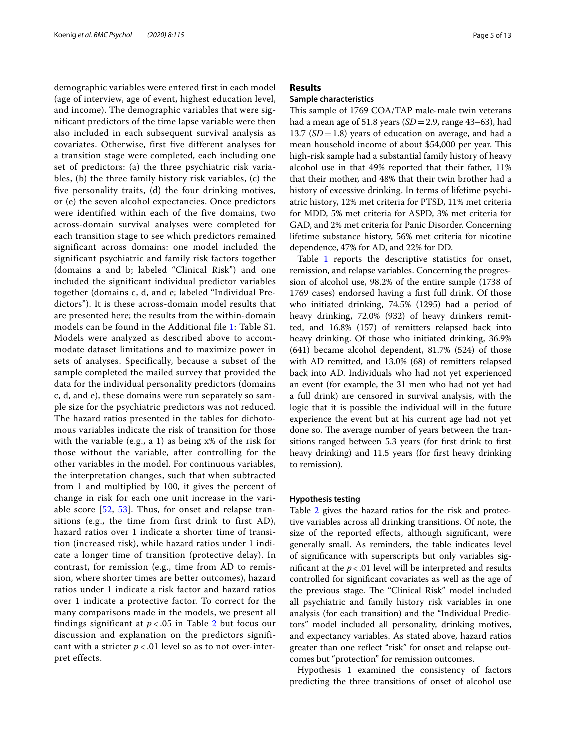demographic variables were entered first in each model (age of interview, age of event, highest education level, and income). The demographic variables that were significant predictors of the time lapse variable were then also included in each subsequent survival analysis as covariates. Otherwise, first five different analyses for a transition stage were completed, each including one set of predictors: (a) the three psychiatric risk variables, (b) the three family history risk variables, (c) the five personality traits, (d) the four drinking motives, or (e) the seven alcohol expectancies. Once predictors were identified within each of the five domains, two across-domain survival analyses were completed for each transition stage to see which predictors remained significant across domains: one model included the significant psychiatric and family risk factors together (domains a and b; labeled "Clinical Risk") and one included the significant individual predictor variables together (domains c, d, and e; labeled "Individual Predictors"). It is these across-domain model results that are presented here; the results from the within-domain models can be found in the Additional file [1:](#page-10-11) Table S1. Models were analyzed as described above to accommodate dataset limitations and to maximize power in sets of analyses. Specifically, because a subset of the sample completed the mailed survey that provided the data for the individual personality predictors (domains c, d, and e), these domains were run separately so sample size for the psychiatric predictors was not reduced. The hazard ratios presented in the tables for dichotomous variables indicate the risk of transition for those with the variable (e.g., a 1) as being x% of the risk for those without the variable, after controlling for the other variables in the model. For continuous variables, the interpretation changes, such that when subtracted from 1 and multiplied by 100, it gives the percent of change in risk for each one unit increase in the variable score [[52,](#page-11-34) [53](#page-11-35)]. Thus, for onset and relapse transitions (e.g., the time from first drink to first AD), hazard ratios over 1 indicate a shorter time of transition (increased risk), while hazard ratios under 1 indicate a longer time of transition (protective delay). In contrast, for remission (e.g., time from AD to remission, where shorter times are better outcomes), hazard ratios under 1 indicate a risk factor and hazard ratios over 1 indicate a protective factor. To correct for the many comparisons made in the models, we present all findings significant at  $p < .05$  in Table [2](#page-6-0) but focus our discussion and explanation on the predictors significant with a stricter  $p < 01$  level so as to not over-interpret effects.

## **Results**

## **Sample characteristics**

This sample of 1769 COA/TAP male-male twin veterans had a mean age of 51.8 years (*SD*=2.9, range 43–63), had 13.7 (*SD*=1.8) years of education on average, and had a mean household income of about \$54,000 per year. This high-risk sample had a substantial family history of heavy alcohol use in that 49% reported that their father, 11% that their mother, and 48% that their twin brother had a history of excessive drinking. In terms of lifetime psychiatric history, 12% met criteria for PTSD, 11% met criteria for MDD, 5% met criteria for ASPD, 3% met criteria for GAD, and 2% met criteria for Panic Disorder. Concerning lifetime substance history, 56% met criteria for nicotine dependence, 47% for AD, and 22% for DD.

Table [1](#page-5-0) reports the descriptive statistics for onset, remission, and relapse variables. Concerning the progression of alcohol use, 98.2% of the entire sample (1738 of 1769 cases) endorsed having a frst full drink. Of those who initiated drinking, 74.5% (1295) had a period of heavy drinking, 72.0% (932) of heavy drinkers remitted, and 16.8% (157) of remitters relapsed back into heavy drinking. Of those who initiated drinking, 36.9% (641) became alcohol dependent, 81.7% (524) of those with AD remitted, and 13.0% (68) of remitters relapsed back into AD. Individuals who had not yet experienced an event (for example, the 31 men who had not yet had a full drink) are censored in survival analysis, with the logic that it is possible the individual will in the future experience the event but at his current age had not yet done so. The average number of years between the transitions ranged between 5.3 years (for frst drink to frst heavy drinking) and 11.5 years (for frst heavy drinking to remission).

#### **Hypothesis testing**

Table [2](#page-6-0) gives the hazard ratios for the risk and protective variables across all drinking transitions. Of note, the size of the reported effects, although significant, were generally small. As reminders, the table indicates level of signifcance with superscripts but only variables significant at the  $p < 01$  level will be interpreted and results controlled for signifcant covariates as well as the age of the previous stage. The "Clinical Risk" model included all psychiatric and family history risk variables in one analysis (for each transition) and the "Individual Predictors" model included all personality, drinking motives, and expectancy variables. As stated above, hazard ratios greater than one refect "risk" for onset and relapse outcomes but "protection" for remission outcomes.

Hypothesis 1 examined the consistency of factors predicting the three transitions of onset of alcohol use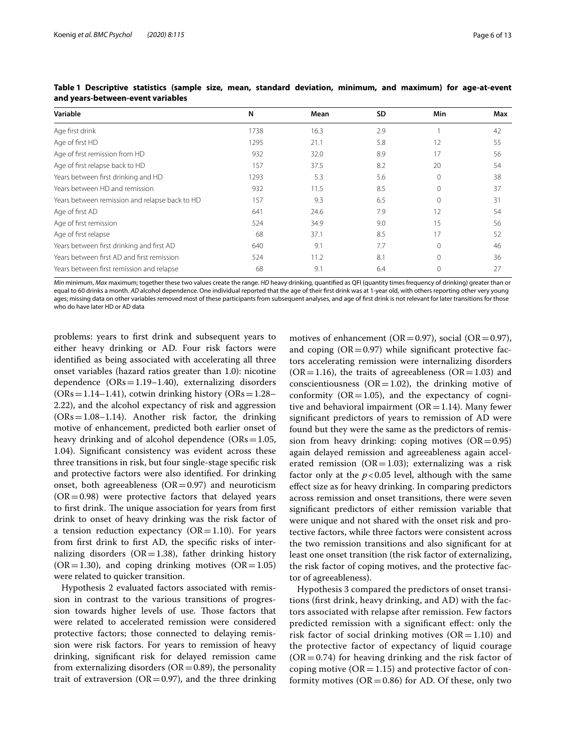| Variable                                       | N    | Mean | <b>SD</b> | Min      | Max |
|------------------------------------------------|------|------|-----------|----------|-----|
| Age first drink                                | 1738 | 16.3 | 2.9       |          | 42  |
| Age of first HD                                | 1295 | 21.1 | 5.8       | 12       | 55  |
| Age of first remission from HD                 | 932  | 32.0 | 8.9       | 17       | 56  |
| Age of first relapse back to HD                | 157  | 37.5 | 8.2       | 20       | 54  |
| Years between first drinking and HD            | 1293 | 5.3  | 5.6       | $\Omega$ | 38  |
| Years between HD and remission                 | 932  | 11.5 | 8.5       |          | 37  |
| Years between remission and relapse back to HD | 157  | 9.3  | 6.5       | $\Omega$ | 31  |
| Age of first AD                                | 641  | 24.6 | 7.9       | 12       | 54  |
| Age of first remission                         | 524  | 34.9 | 9.0       | 15       | 56  |
| Age of first relapse                           | 68   | 37.1 | 8.5       | 17       | 52  |
| Years between first drinking and first AD      | 640  | 9.1  | 7.7       |          | 46  |
| Years between first AD and first remission     | 524  | 11.2 | 8.1       |          | 36  |
| Years between first remission and relapse      | 68   | 9.1  | 6.4       |          | 27  |

<span id="page-5-0"></span>**Table 1 Descriptive statistics (sample size, mean, standard deviation, minimum, and maximum) for age-at-event and years-between-event variables**

*Min* minimum, *Max* maximum; together these two values create the range. *HD* heavy drinking, quantifed as QFI (quantity times frequency of drinking) greater than or equal to 60 drinks a month. AD alcohol dependence. One individual reported that the age of their first drink was at 1-year old, with others reporting other very young ages; missing data on other variables removed most of these participants from subsequent analyses, and age of first drink is not relevant for later transitions for those who do have later HD or AD data

problems: years to frst drink and subsequent years to either heavy drinking or AD. Four risk factors were identifed as being associated with accelerating all three onset variables (hazard ratios greater than 1.0): nicotine dependence  $(ORs=1.19-1.40)$ , externalizing disorders  $(ORs=1.14-1.41)$ , cotwin drinking history  $(ORs=1.28-1.28)$ 2.22), and the alcohol expectancy of risk and aggression  $(ORs=1.08-1.14)$ . Another risk factor, the drinking motive of enhancement, predicted both earlier onset of heavy drinking and of alcohol dependence ( $ORs=1.05$ , 1.04). Signifcant consistency was evident across these three transitions in risk, but four single-stage specifc risk and protective factors were also identifed. For drinking onset, both agreeableness ( $OR = 0.97$ ) and neuroticism  $(OR = 0.98)$  were protective factors that delayed years to first drink. The unique association for years from first drink to onset of heavy drinking was the risk factor of a tension reduction expectancy  $(OR=1.10)$ . For years from frst drink to frst AD, the specifc risks of internalizing disorders ( $OR = 1.38$ ), father drinking history  $(OR = 1.30)$ , and coping drinking motives  $(OR = 1.05)$ were related to quicker transition.

Hypothesis 2 evaluated factors associated with remission in contrast to the various transitions of progression towards higher levels of use. Those factors that were related to accelerated remission were considered protective factors; those connected to delaying remission were risk factors. For years to remission of heavy drinking, signifcant risk for delayed remission came from externalizing disorders ( $OR = 0.89$ ), the personality trait of extraversion ( $OR = 0.97$ ), and the three drinking motives of enhancement ( $OR = 0.97$ ), social ( $OR = 0.97$ ), and coping  $(OR=0.97)$  while significant protective factors accelerating remission were internalizing disorders  $(OR = 1.16)$ , the traits of agreeableness  $(OR = 1.03)$  and conscientiousness ( $OR = 1.02$ ), the drinking motive of conformity ( $OR = 1.05$ ), and the expectancy of cognitive and behavioral impairment ( $OR = 1.14$ ). Many fewer signifcant predictors of years to remission of AD were found but they were the same as the predictors of remission from heavy drinking: coping motives  $(OR = 0.95)$ again delayed remission and agreeableness again accelerated remission (OR=1.03); externalizing was a risk factor only at the  $p < 0.05$  level, although with the same efect size as for heavy drinking. In comparing predictors across remission and onset transitions, there were seven signifcant predictors of either remission variable that were unique and not shared with the onset risk and protective factors, while three factors were consistent across the two remission transitions and also signifcant for at least one onset transition (the risk factor of externalizing, the risk factor of coping motives, and the protective factor of agreeableness).

Hypothesis 3 compared the predictors of onset transitions (frst drink, heavy drinking, and AD) with the factors associated with relapse after remission. Few factors predicted remission with a signifcant efect: only the risk factor of social drinking motives  $(OR=1.10)$  and the protective factor of expectancy of liquid courage  $(OR = 0.74)$  for heaving drinking and the risk factor of coping motive ( $OR = 1.15$ ) and protective factor of conformity motives ( $OR = 0.86$ ) for AD. Of these, only two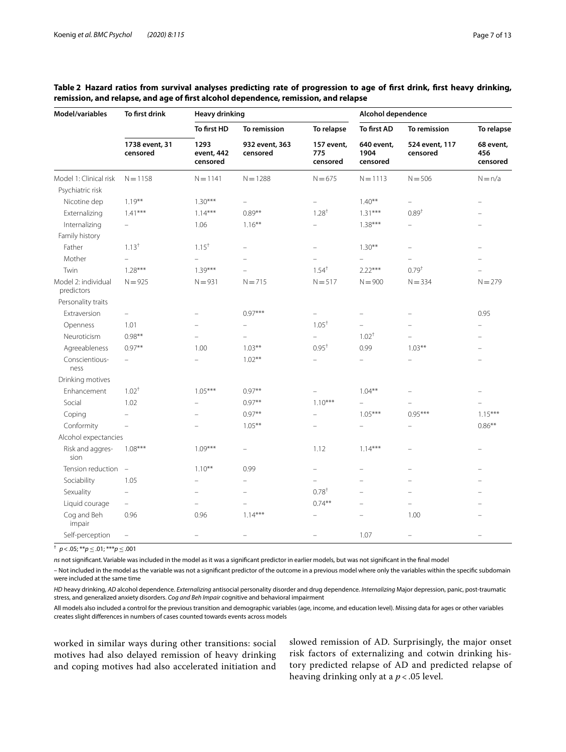| Model/variables                   | To first drink<br>1738 event, 31<br>censored | <b>Heavy drinking</b>                         |                                            |                                             | Alcohol dependence                            |                                            |                                            |
|-----------------------------------|----------------------------------------------|-----------------------------------------------|--------------------------------------------|---------------------------------------------|-----------------------------------------------|--------------------------------------------|--------------------------------------------|
|                                   |                                              | To first HD<br>1293<br>event, 442<br>censored | To remission<br>932 event, 363<br>censored | To relapse<br>157 event,<br>775<br>censored | To first AD<br>640 event,<br>1904<br>censored | To remission<br>524 event, 117<br>censored | To relapse<br>68 event,<br>456<br>censored |
|                                   |                                              |                                               |                                            |                                             |                                               |                                            |                                            |
| Psychiatric risk                  |                                              |                                               |                                            |                                             |                                               |                                            |                                            |
| Nicotine dep                      | $1.19***$                                    | $1.30***$                                     | $\equiv$                                   |                                             | $1.40**$                                      | $\equiv$                                   | $\equiv$                                   |
| Externalizing                     | $1.41***$                                    | $1.14***$                                     | $0.89***$                                  | $1.28^{+}$                                  | $1.31***$                                     | $0.89^{+}$                                 | $\equiv$                                   |
| Internalizing                     | $\qquad \qquad -$                            | 1.06                                          | $1.16***$                                  | $\overline{\phantom{0}}$                    | $1.38***$                                     | $\equiv$                                   | $\overline{\phantom{a}}$                   |
| Family history                    |                                              |                                               |                                            |                                             |                                               |                                            |                                            |
| Father                            | 1.13 <sup>†</sup>                            | $1.15^{+}$                                    | $\overline{\phantom{0}}$                   | $\overline{\phantom{0}}$                    | $1.30***$                                     | $\overline{\phantom{0}}$                   | $\overline{\phantom{0}}$                   |
| Mother                            |                                              |                                               |                                            |                                             |                                               | $\overline{\phantom{0}}$                   | $\overline{\phantom{0}}$                   |
| Twin                              | $1.28***$                                    | $1.39***$                                     | $\equiv$                                   | $1.54^{+}$                                  | $2.22***$                                     | $0.79^{+}$                                 |                                            |
| Model 2: individual<br>predictors | $N = 925$                                    | $N = 931$                                     | $N = 715$                                  | $N = 517$                                   | $N = 900$                                     | $N = 334$                                  | $N = 279$                                  |
| Personality traits                |                                              |                                               |                                            |                                             |                                               |                                            |                                            |
| Extraversion                      | $\equiv$                                     | $\overline{\phantom{0}}$                      | $0.97***$                                  | ÷,                                          | $\qquad \qquad -$                             | $\overline{\phantom{0}}$                   | 0.95                                       |
| Openness                          | 1.01                                         |                                               | $\overline{\phantom{0}}$                   | $1.05^{+}$                                  |                                               | L,                                         | $\equiv$                                   |
| Neuroticism                       | $0.98**$                                     |                                               |                                            |                                             | $1.02^{+}$                                    | $\overline{\phantom{0}}$                   | $\equiv$                                   |
| Agreeableness                     | $0.97**$                                     | 1.00                                          | $1.03***$                                  | $0.95^+$                                    | 0.99                                          | $1.03***$                                  | $\overline{\phantom{0}}$                   |
| Conscientious-<br>ness            | ÷,                                           | $\overline{\phantom{0}}$                      | $1.02***$                                  | $\equiv$                                    | $\overline{a}$                                | $\overline{a}$                             | $\equiv$                                   |
| Drinking motives                  |                                              |                                               |                                            |                                             |                                               |                                            |                                            |
| Enhancement                       | $1.02^{+}$                                   | $1.05***$                                     | $0.97**$                                   |                                             | $1.04***$                                     |                                            | $\equiv$                                   |
| Social                            | 1.02                                         | $\equiv$                                      | $0.97**$                                   | $1.10***$                                   |                                               |                                            |                                            |
| Coping                            | $\overline{a}$                               | $\equiv$                                      | $0.97***$                                  | $\equiv$                                    | $1.05***$                                     | $0.95***$                                  | $1.15***$                                  |
| Conformity                        | $\qquad \qquad -$                            | ÷,                                            | $1.05***$                                  | $\overline{a}$                              | $\qquad \qquad -$                             | -                                          | $0.86***$                                  |
| Alcohol expectancies              |                                              |                                               |                                            |                                             |                                               |                                            |                                            |
| Risk and aggres-<br>sion          | $1.08***$                                    | $1.09***$                                     | $\overline{\phantom{0}}$                   | 1.12                                        | $1.14***$                                     | -                                          | $\overline{\phantom{a}}$                   |
| Tension reduction -               |                                              | $1.10***$                                     | 0.99                                       | ÷                                           |                                               | L,                                         | $\overline{\phantom{m}}$                   |
| Sociability                       | 1.05                                         | $\overline{\phantom{0}}$                      | $\overline{\phantom{0}}$                   | $\overline{\phantom{0}}$                    |                                               | L,                                         | $\equiv$                                   |
| Sexuality                         | $\qquad \qquad -$                            | $\overline{\phantom{0}}$                      | $\equiv$                                   | $0.78^{+}$                                  | $\equiv$                                      | $\overline{\phantom{0}}$                   | $\equiv$                                   |
| Liquid courage                    | -                                            | $\overline{\phantom{0}}$                      | $\overline{\phantom{0}}$                   | $0.74***$                                   | $\equiv$                                      | $\overline{\phantom{0}}$                   | $\equiv$                                   |
| Cog and Beh<br>impair             | 0.96                                         | 0.96                                          | $1.14***$                                  | $\overline{\phantom{0}}$                    | ÷                                             | 1.00                                       | $\overline{\phantom{0}}$                   |
| Self-perception                   | $\equiv$                                     | $\overline{\phantom{0}}$                      | $\overline{\phantom{m}}$                   | $\overline{\phantom{0}}$                    | 1.07                                          | $\overline{\phantom{0}}$                   | $\qquad \qquad -$                          |

<span id="page-6-0"></span>

| Table 2 Hazard ratios from survival analyses predicting rate of progression to age of first drink, first heavy drinking, |  |
|--------------------------------------------------------------------------------------------------------------------------|--|
| remission, and relapse, and age of first alcohol dependence, remission, and relapse                                      |  |

† *<sup>p</sup>*<.05; \*\**p*≤.01; \*\*\**p*≤.001

*ns* not signifcant. Variable was included in the model as it was a signifcant predictor in earlier models, but was not signifcant in the fnal model

– Not included in the model as the variable was not a signifcant predictor of the outcome in a previous model where only the variables within the specifc subdomain were included at the same time

*HD* heavy drinking, *AD* alcohol dependence. *Externalizing* antisocial personality disorder and drug dependence. *Internalizing* Major depression, panic, post-traumatic stress, and generalized anxiety disorders. *Cog and Beh Impair* cognitive and behavioral impairment

All models also included a control for the previous transition and demographic variables (age, income, and education level). Missing data for ages or other variables creates slight diferences in numbers of cases counted towards events across models

worked in similar ways during other transitions: social motives had also delayed remission of heavy drinking and coping motives had also accelerated initiation and slowed remission of AD. Surprisingly, the major onset risk factors of externalizing and cotwin drinking history predicted relapse of AD and predicted relapse of heaving drinking only at a *p* < .05 level.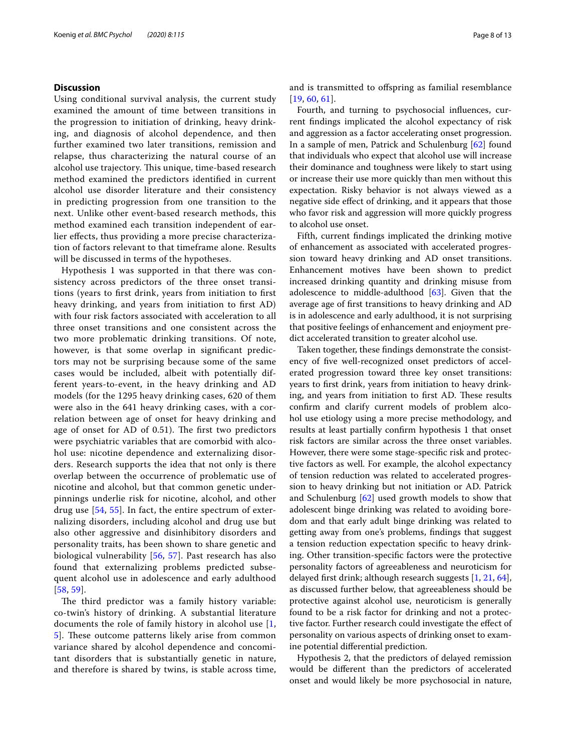## **Discussion**

Using conditional survival analysis, the current study examined the amount of time between transitions in the progression to initiation of drinking, heavy drinking, and diagnosis of alcohol dependence, and then further examined two later transitions, remission and relapse, thus characterizing the natural course of an alcohol use trajectory. This unique, time-based research method examined the predictors identifed in current alcohol use disorder literature and their consistency in predicting progression from one transition to the next. Unlike other event-based research methods, this method examined each transition independent of earlier efects, thus providing a more precise characterization of factors relevant to that timeframe alone. Results will be discussed in terms of the hypotheses.

Hypothesis 1 was supported in that there was consistency across predictors of the three onset transitions (years to frst drink, years from initiation to frst heavy drinking, and years from initiation to frst AD) with four risk factors associated with acceleration to all three onset transitions and one consistent across the two more problematic drinking transitions. Of note, however, is that some overlap in signifcant predictors may not be surprising because some of the same cases would be included, albeit with potentially different years-to-event, in the heavy drinking and AD models (for the 1295 heavy drinking cases, 620 of them were also in the 641 heavy drinking cases, with a correlation between age of onset for heavy drinking and age of onset for AD of  $0.51$ ). The first two predictors were psychiatric variables that are comorbid with alcohol use: nicotine dependence and externalizing disorders. Research supports the idea that not only is there overlap between the occurrence of problematic use of nicotine and alcohol, but that common genetic underpinnings underlie risk for nicotine, alcohol, and other drug use [[54,](#page-11-36) [55](#page-11-37)]. In fact, the entire spectrum of externalizing disorders, including alcohol and drug use but also other aggressive and disinhibitory disorders and personality traits, has been shown to share genetic and biological vulnerability [[56](#page-11-38), [57](#page-11-39)]. Past research has also found that externalizing problems predicted subsequent alcohol use in adolescence and early adulthood [[58](#page-11-40), [59](#page-11-41)].

The third predictor was a family history variable: co-twin's history of drinking. A substantial literature documents the role of family history in alcohol use [\[1](#page-10-0), [5\]](#page-10-10). These outcome patterns likely arise from common variance shared by alcohol dependence and concomitant disorders that is substantially genetic in nature, and therefore is shared by twins, is stable across time, and is transmitted to ofspring as familial resemblance [[19](#page-11-3), [60](#page-11-42), [61](#page-11-43)].

Fourth, and turning to psychosocial infuences, current fndings implicated the alcohol expectancy of risk and aggression as a factor accelerating onset progression. In a sample of men, Patrick and Schulenburg [\[62](#page-11-44)] found that individuals who expect that alcohol use will increase their dominance and toughness were likely to start using or increase their use more quickly than men without this expectation. Risky behavior is not always viewed as a negative side efect of drinking, and it appears that those who favor risk and aggression will more quickly progress to alcohol use onset.

Fifth, current fndings implicated the drinking motive of enhancement as associated with accelerated progression toward heavy drinking and AD onset transitions. Enhancement motives have been shown to predict increased drinking quantity and drinking misuse from adolescence to middle-adulthood [\[63](#page-11-45)]. Given that the average age of frst transitions to heavy drinking and AD is in adolescence and early adulthood, it is not surprising that positive feelings of enhancement and enjoyment predict accelerated transition to greater alcohol use.

Taken together, these fndings demonstrate the consistency of fve well-recognized onset predictors of accelerated progression toward three key onset transitions: years to frst drink, years from initiation to heavy drinking, and years from initiation to first AD. These results confrm and clarify current models of problem alcohol use etiology using a more precise methodology, and results at least partially confrm hypothesis 1 that onset risk factors are similar across the three onset variables. However, there were some stage-specifc risk and protective factors as well. For example, the alcohol expectancy of tension reduction was related to accelerated progression to heavy drinking but not initiation or AD. Patrick and Schulenburg [\[62](#page-11-44)] used growth models to show that adolescent binge drinking was related to avoiding boredom and that early adult binge drinking was related to getting away from one's problems, fndings that suggest a tension reduction expectation specifc to heavy drinking. Other transition-specifc factors were the protective personality factors of agreeableness and neuroticism for delayed frst drink; although research suggests [\[1](#page-10-0), [21,](#page-11-5) [64](#page-12-0)], as discussed further below, that agreeableness should be protective against alcohol use, neuroticism is generally found to be a risk factor for drinking and not a protective factor. Further research could investigate the efect of personality on various aspects of drinking onset to examine potential diferential prediction.

Hypothesis 2, that the predictors of delayed remission would be diferent than the predictors of accelerated onset and would likely be more psychosocial in nature,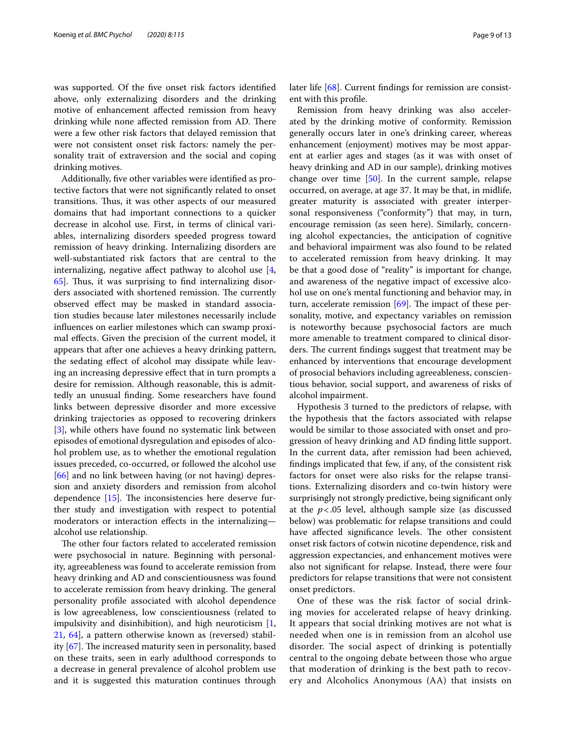was supported. Of the fve onset risk factors identifed above, only externalizing disorders and the drinking motive of enhancement afected remission from heavy drinking while none affected remission from AD. There were a few other risk factors that delayed remission that were not consistent onset risk factors: namely the personality trait of extraversion and the social and coping drinking motives.

Additionally, fve other variables were identifed as protective factors that were not signifcantly related to onset transitions. Thus, it was other aspects of our measured domains that had important connections to a quicker decrease in alcohol use. First, in terms of clinical variables, internalizing disorders speeded progress toward remission of heavy drinking. Internalizing disorders are well-substantiated risk factors that are central to the internalizing, negative affect pathway to alcohol use  $[4, 4]$  $[4, 4]$ [65\]](#page-12-1). Thus, it was surprising to find internalizing disorders associated with shortened remission. The currently observed efect may be masked in standard association studies because later milestones necessarily include infuences on earlier milestones which can swamp proximal efects. Given the precision of the current model, it appears that after one achieves a heavy drinking pattern, the sedating effect of alcohol may dissipate while leaving an increasing depressive efect that in turn prompts a desire for remission. Although reasonable, this is admittedly an unusual fnding. Some researchers have found links between depressive disorder and more excessive drinking trajectories as opposed to recovering drinkers [[3\]](#page-10-13), while others have found no systematic link between episodes of emotional dysregulation and episodes of alcohol problem use, as to whether the emotional regulation issues preceded, co-occurred, or followed the alcohol use [[66\]](#page-12-2) and no link between having (or not having) depression and anxiety disorders and remission from alcohol dependence  $[15]$ . The inconsistencies here deserve further study and investigation with respect to potential moderators or interaction efects in the internalizing alcohol use relationship.

The other four factors related to accelerated remission were psychosocial in nature. Beginning with personality, agreeableness was found to accelerate remission from heavy drinking and AD and conscientiousness was found to accelerate remission from heavy drinking. The general personality profle associated with alcohol dependence is low agreeableness, low conscientiousness (related to impulsivity and disinhibition), and high neuroticism  $[1, 1]$  $[1, 1]$ [21,](#page-11-5) [64](#page-12-0)], a pattern otherwise known as (reversed) stability  $[67]$  $[67]$  $[67]$ . The increased maturity seen in personality, based on these traits, seen in early adulthood corresponds to a decrease in general prevalence of alcohol problem use and it is suggested this maturation continues through later life [[68](#page-12-4)]. Current fndings for remission are consistent with this profle.

Remission from heavy drinking was also accelerated by the drinking motive of conformity. Remission generally occurs later in one's drinking career, whereas enhancement (enjoyment) motives may be most apparent at earlier ages and stages (as it was with onset of heavy drinking and AD in our sample), drinking motives change over time  $[50]$  $[50]$  $[50]$ . In the current sample, relapse occurred, on average, at age 37. It may be that, in midlife, greater maturity is associated with greater interpersonal responsiveness ("conformity") that may, in turn, encourage remission (as seen here). Similarly, concerning alcohol expectancies, the anticipation of cognitive and behavioral impairment was also found to be related to accelerated remission from heavy drinking. It may be that a good dose of "reality" is important for change, and awareness of the negative impact of excessive alcohol use on one's mental functioning and behavior may, in turn, accelerate remission  $[69]$  $[69]$  $[69]$ . The impact of these personality, motive, and expectancy variables on remission is noteworthy because psychosocial factors are much more amenable to treatment compared to clinical disorders. The current findings suggest that treatment may be enhanced by interventions that encourage development of prosocial behaviors including agreeableness, conscientious behavior, social support, and awareness of risks of alcohol impairment.

Hypothesis 3 turned to the predictors of relapse, with the hypothesis that the factors associated with relapse would be similar to those associated with onset and progression of heavy drinking and AD fnding little support. In the current data, after remission had been achieved, fndings implicated that few, if any, of the consistent risk factors for onset were also risks for the relapse transitions. Externalizing disorders and co-twin history were surprisingly not strongly predictive, being signifcant only at the  $p < .05$  level, although sample size (as discussed below) was problematic for relapse transitions and could have affected significance levels. The other consistent onset risk factors of cotwin nicotine dependence, risk and aggression expectancies, and enhancement motives were also not signifcant for relapse. Instead, there were four predictors for relapse transitions that were not consistent onset predictors.

One of these was the risk factor of social drinking movies for accelerated relapse of heavy drinking. It appears that social drinking motives are not what is needed when one is in remission from an alcohol use disorder. The social aspect of drinking is potentially central to the ongoing debate between those who argue that moderation of drinking is the best path to recovery and Alcoholics Anonymous (AA) that insists on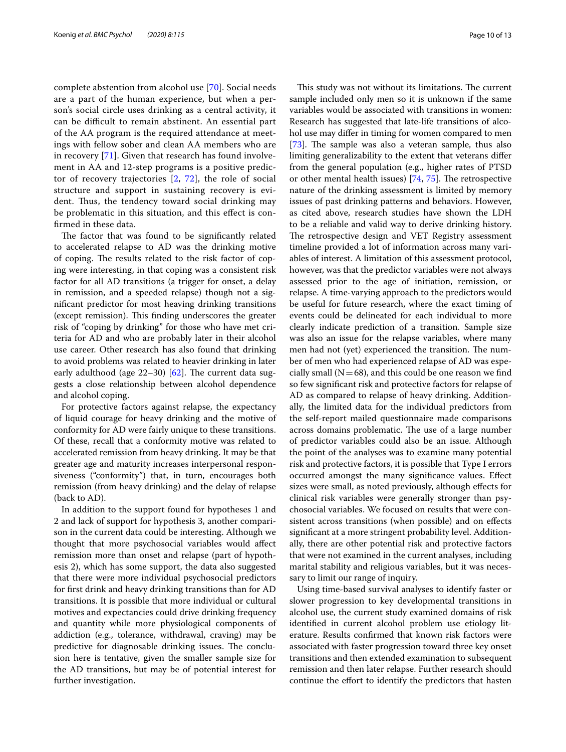complete abstention from alcohol use [\[70](#page-12-6)]. Social needs are a part of the human experience, but when a person's social circle uses drinking as a central activity, it can be difficult to remain abstinent. An essential part of the AA program is the required attendance at meetings with fellow sober and clean AA members who are in recovery  $[71]$  $[71]$ . Given that research has found involvement in AA and 12-step programs is a positive predictor of recovery trajectories [[2,](#page-10-14) [72\]](#page-12-8), the role of social structure and support in sustaining recovery is evident. Thus, the tendency toward social drinking may be problematic in this situation, and this efect is confrmed in these data.

The factor that was found to be significantly related to accelerated relapse to AD was the drinking motive of coping. The results related to the risk factor of coping were interesting, in that coping was a consistent risk factor for all AD transitions (a trigger for onset, a delay in remission, and a speeded relapse) though not a signifcant predictor for most heaving drinking transitions (except remission). This finding underscores the greater risk of "coping by drinking" for those who have met criteria for AD and who are probably later in their alcohol use career. Other research has also found that drinking to avoid problems was related to heavier drinking in later early adulthood (age  $22-30$ ) [[62\]](#page-11-44). The current data suggests a close relationship between alcohol dependence and alcohol coping.

For protective factors against relapse, the expectancy of liquid courage for heavy drinking and the motive of conformity for AD were fairly unique to these transitions. Of these, recall that a conformity motive was related to accelerated remission from heavy drinking. It may be that greater age and maturity increases interpersonal responsiveness ("conformity") that, in turn, encourages both remission (from heavy drinking) and the delay of relapse (back to AD).

In addition to the support found for hypotheses 1 and 2 and lack of support for hypothesis 3, another comparison in the current data could be interesting. Although we thought that more psychosocial variables would afect remission more than onset and relapse (part of hypothesis 2), which has some support, the data also suggested that there were more individual psychosocial predictors for frst drink and heavy drinking transitions than for AD transitions. It is possible that more individual or cultural motives and expectancies could drive drinking frequency and quantity while more physiological components of addiction (e.g., tolerance, withdrawal, craving) may be predictive for diagnosable drinking issues. The conclusion here is tentative, given the smaller sample size for the AD transitions, but may be of potential interest for further investigation.

This study was not without its limitations. The current sample included only men so it is unknown if the same variables would be associated with transitions in women: Research has suggested that late-life transitions of alcohol use may difer in timing for women compared to men [ $73$ ]. The sample was also a veteran sample, thus also limiting generalizability to the extent that veterans difer from the general population (e.g., higher rates of PTSD or other mental health issues)  $[74, 75]$  $[74, 75]$  $[74, 75]$  $[74, 75]$ . The retrospective nature of the drinking assessment is limited by memory issues of past drinking patterns and behaviors. However, as cited above, research studies have shown the LDH to be a reliable and valid way to derive drinking history. The retrospective design and VET Registry assessment timeline provided a lot of information across many variables of interest. A limitation of this assessment protocol, however, was that the predictor variables were not always assessed prior to the age of initiation, remission, or relapse. A time-varying approach to the predictors would be useful for future research, where the exact timing of events could be delineated for each individual to more clearly indicate prediction of a transition. Sample size was also an issue for the relapse variables, where many men had not (yet) experienced the transition. The number of men who had experienced relapse of AD was especially small ( $N=68$ ), and this could be one reason we find so few signifcant risk and protective factors for relapse of AD as compared to relapse of heavy drinking. Additionally, the limited data for the individual predictors from the self-report mailed questionnaire made comparisons across domains problematic. The use of a large number of predictor variables could also be an issue. Although the point of the analyses was to examine many potential risk and protective factors, it is possible that Type I errors occurred amongst the many signifcance values. Efect sizes were small, as noted previously, although efects for clinical risk variables were generally stronger than psychosocial variables. We focused on results that were consistent across transitions (when possible) and on efects signifcant at a more stringent probability level. Additionally, there are other potential risk and protective factors that were not examined in the current analyses, including marital stability and religious variables, but it was necessary to limit our range of inquiry.

Using time-based survival analyses to identify faster or slower progression to key developmental transitions in alcohol use, the current study examined domains of risk identifed in current alcohol problem use etiology literature. Results confrmed that known risk factors were associated with faster progression toward three key onset transitions and then extended examination to subsequent remission and then later relapse. Further research should continue the efort to identify the predictors that hasten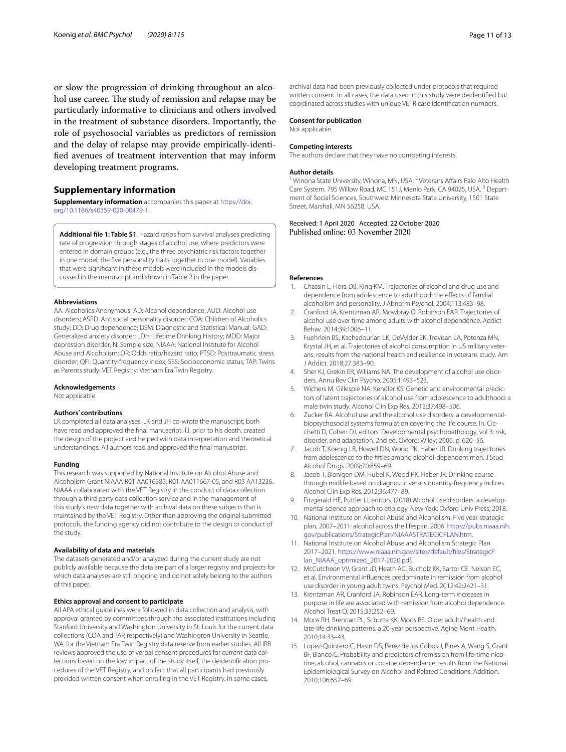or slow the progression of drinking throughout an alcohol use career. The study of remission and relapse may be particularly informative to clinicians and others involved in the treatment of substance disorders. Importantly, the role of psychosocial variables as predictors of remission and the delay of relapse may provide empirically-identifed avenues of treatment intervention that may inform developing treatment programs.

## **Supplementary information**

**Supplementary information** accompanies this paper at [https://doi.](https://doi.org/10.1186/s40359-020-00479-1) [org/10.1186/s40359-020-00479-1](https://doi.org/10.1186/s40359-020-00479-1).

<span id="page-10-11"></span>**Additional fle 1: Table S1**. Hazard ratios from survival analyses predicting rate of progression through stages of alcohol use, where predictors were entered in domain groups (e.g., the three psychiatric risk factors together in one model; the fve personality traits together in one model). Variables that were signifcant in these models were included in the models discussed in the manuscript and shown in Table [2](#page-6-0) in the paper.

#### **Abbreviations**

AA: Alcoholics Anonymous; AD: Alcohol dependence; AUD: Alcohol use disorders; ASPD: Antisocial personality disorder; COA: Children of Alcoholics study; DD: Drug dependence; DSM: Diagnostic and Statistical Manual; GAD: Generalized anxiety disorder; LDH: Lifetime Drinking History; MDD: Major depression disorder; N: Sample size; NIAAA: National Institute for Alcohol Abuse and Alcoholism; OR: Odds ratio/hazard ratio; PTSD: Posttraumatic stress disorder; QFI: Quantity-frequency index; SES: Socioeconomic status; TAP: Twins as Parents study; VET Registry: Vietnam Era Twin Registry.

#### **Acknowledgements**

Not applicable.

#### **Authors' contributions**

LK completed all data analyses. LK and JH co-wrote the manuscript; both have read and approved the fnal manuscript. TJ, prior to his death, created the design of the project and helped with data interpretation and theoretical understandings. All authors read and approved the fnal manuscript.

#### **Funding**

This research was supported by National Institute on Alcohol Abuse and Alcoholism Grant NIAAA R01 AA016383, R01 AA011667-05, and R03 AA13236. NIAAA collaborated with the VET Registry in the conduct of data collection through a third party data collection service and in the management of this study's new data together with archival data on these subjects that is maintained by the VET Registry. Other than approving the original submitted protocols, the funding agency did not contribute to the design or conduct of the study.

#### **Availability of data and materials**

The datasets generated and/or analyzed during the current study are not publicly available because the data are part of a larger registry and projects for which data analyses are still ongoing and do not solely belong to the authors of this paper.

#### **Ethics approval and consent to participate**

All APA ethical guidelines were followed in data collection and analysis, with approval granted by committees through the associated institutions including Stanford University and Washington University in St. Louis for the current data collections (COA and TAP, respectively) and Washington University in Seattle, WA, for the Vietnam Era Twin Registry data reserve from earlier studies. All IRB reviews approved the use of verbal consent procedures for current data collections based on the low impact of the study itself, the deidentifcation procedures of the VET Registry, and on fact that all participants had previously provided written consent when enrolling in the VET Registry. In some cases,

archival data had been previously collected under protocols that required written consent. In all cases, the data used in this study were deidentifed but coordinated across studies with unique VETR case identifcation numbers.

## **Consent for publication**

Not applicable.

#### **Competing interests**

The authors declare that they have no competing interests.

#### **Author details**

Winona State University, Winona, MN, USA. <sup>2</sup> Veterans Affairs Palo Alto Health Care System, 795 Willow Road, MC 151J, Menlo Park, CA 94025, USA.<sup>3</sup> Department of Social Sciences, Southwest Minnesota State University, 1501 State Street, Marshall, MN 56258, USA.

Received: 1 April 2020 Accepted: 22 October 2020 Published online: 03 November 2020

#### **References**

- <span id="page-10-0"></span>1. Chassin L, Flora DB, King KM. Trajectories of alcohol and drug use and dependence from adolescence to adulthood: the effects of familial alcoholism and personality. J Abnorm Psychol. 2004;113:483–98.
- <span id="page-10-14"></span>2. Cranford JA, Krentzman AR, Mowbray O, Robinson EAR. Trajectories of alcohol use over time among adults with alcohol dependence. Addict Behav. 2014;39:1006–11.
- <span id="page-10-13"></span>3. Fuehrlein BS, Kachadourian LK, DeVylder EK, Trevisan LA, Potenza MN, Krystal JH, et al. Trajectories of alcohol consumption in US military veterans: results from the national health and resilience in veterans study. Am J Addict. 2018;27:383–90.
- <span id="page-10-12"></span>4. Sher KJ, Grekin ER, Williams NA. The development of alcohol use disorders. Annu Rev Clin Psycho. 2005;1:493–523.
- <span id="page-10-10"></span>5. Wichers M, Gillespie NA, Kendler KS. Genetic and environmental predictors of latent trajectories of alcohol use from adolescence to adulthood: a male twin study. Alcohol Clin Exp Res. 2013;37:498–506.
- <span id="page-10-1"></span>6. Zucker RA. Alcohol use and the alcohol use disorders: a developmentalbiopsychosocial systems formulation covering the life course. In: Cicchetti D, Cohen DJ, editors. Developmental psychopathology, vol 3: risk, disorder, and adaptation. 2nd ed. Oxford: Wiley; 2006. p. 620–56.
- <span id="page-10-2"></span>7. Jacob T, Koenig LB, Howell DN, Wood PK, Haber JR. Drinking trajectories from adolescence to the ffties among alcohol-dependent men. J Stud Alcohol Drugs. 2009;70:859–69.
- <span id="page-10-3"></span>8. Jacob T, Blonigen DM, Hubel K, Wood PK, Haber JR. Drinking course through midlife based on diagnostic versus quantity-frequency indices. Alcohol Clin Exp Res. 2012;36:477–89.
- <span id="page-10-4"></span>9. Fitzgerald HE, Puttler LI, editors. (2018) Alcohol use disorders: a developmental science approach to etiology. New York: Oxford Univ Press; 2018.
- <span id="page-10-5"></span>10. National Institute on Alcohol Abuse and Alcoholism. Five year strategic plan, 2007–2011: alcohol across the lifespan. 2006. [https://pubs.niaaa.nih.](https://pubs.niaaa.nih.gov/publications/StrategicPlan/NIAAASTRATEGICPLAN.htm) [gov/publications/StrategicPlan/NIAAASTRATEGICPLAN.htm.](https://pubs.niaaa.nih.gov/publications/StrategicPlan/NIAAASTRATEGICPLAN.htm)
- <span id="page-10-6"></span>11. National Institute on Alcohol Abuse and Alcoholism Strategic Plan 2017–2021. [https://www.niaaa.nih.gov/sites/default/fles/StrategicP](https://www.niaaa.nih.gov/sites/default/files/StrategicPlan_NIAAA_optimized_2017-2020.pdf) [lan\\_NIAAA\\_optimized\\_2017-2020.pdf.](https://www.niaaa.nih.gov/sites/default/files/StrategicPlan_NIAAA_optimized_2017-2020.pdf)
- <span id="page-10-7"></span>12. McCutcheon VV, Grant JD, Heath AC, Bucholz KK, Sartor CE, Nelson EC, et al. Environmental infuences predominate in remission from alcohol use disorder in young adult twins. Psychol Med. 2012;42:2421–31.
- <span id="page-10-8"></span>13. Krentzman AR, Cranford JA, Robinson EAR. Long-term increases in purpose in life are associated with remission from alcohol dependence. Alcohol Treat Q. 2015;33:252–69.
- 14. Moos RH, Brennan PL, Schutte KK, Moos BS. Older adults' health and late-life drinking patterns: a 20-year perspective. Aging Ment Health. 2010;14:33–43.
- <span id="page-10-9"></span>15. Lopez-Quintero C, Hasin DS, Perez de los Cobos J, Pines A, Wang S, Grant BF, Blanco C. Probability and predictors of remission from life-time nicotine, alcohol, cannabis or cocaine dependence: results from the National Epidemiological Survey on Alcohol and Related Conditions. Addition. 2010;106:657–69.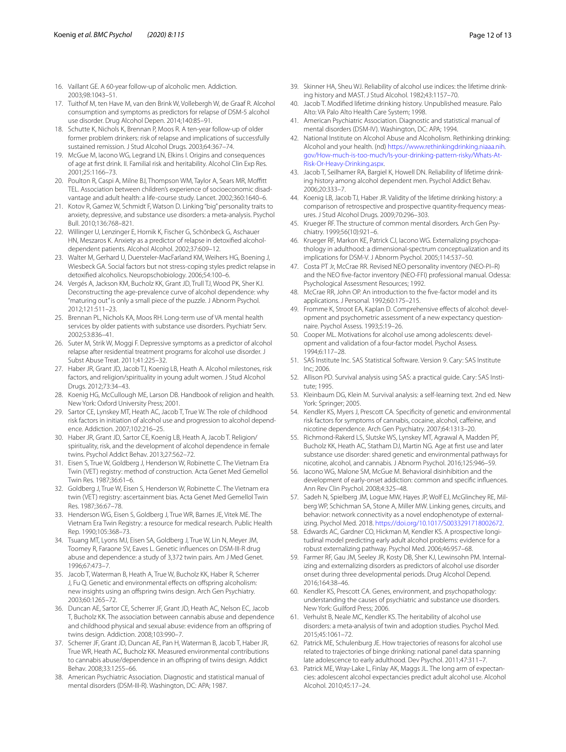- <span id="page-11-0"></span>16. Vaillant GE. A 60-year follow-up of alcoholic men. Addiction. 2003;98:1043–51.
- <span id="page-11-1"></span>17. Tuithof M, ten Have M, van den Brink W, Vollebergh W, de Graaf R. Alcohol consumption and symptoms as predictors for relapse of DSM-5 alcohol use disorder. Drug Alcohol Depen. 2014;140:85–91.
- <span id="page-11-2"></span>18. Schutte K, Nichols K, Brennan P, Moos R. A ten-year follow-up of older former problem drinkers: risk of relapse and implications of successfully sustained remission. J Stud Alcohol Drugs. 2003;64:367–74.
- <span id="page-11-3"></span>19. McGue M, Iacono WG, Legrand LN, Elkins I. Origins and consequences of age at frst drink. II. Familial risk and heritability. Alcohol Clin Exp Res. 2001;25:1166–73.
- <span id="page-11-4"></span>20. Poulton R, Caspi A, Milne BJ, Thompson WM, Taylor A, Sears MR, Moffitt TEL. Association between children's experience of socioeconomic disadvantage and adult health: a life-course study. Lancet. 2002;360:1640–6.
- <span id="page-11-5"></span>21. Kotov R, Gamez W, Schmidt F, Watson D. Linking "big" personality traits to anxiety, depressive, and substance use disorders: a meta-analysis. Psychol Bull. 2010;136:768–821.
- <span id="page-11-6"></span>22. Willinger U, Lenzinger E, Hornik K, Fischer G, Schönbeck G, Aschauer HN, Meszaros K. Anxiety as a predictor of relapse in detoxifed alcoholdependent patients. Alcohol Alcohol. 2002;37:609–12.
- <span id="page-11-7"></span>23. Walter M, Gerhard U, Duersteler-MacFarland KM, Weihers HG, Boening J, Wiesbeck GA. Social factors but not stress-coping styles predict relapse in detoxifed alcoholics. Neuropschobiology. 2006;54:100–6.
- <span id="page-11-8"></span>24. Vergés A, Jackson KM, Bucholz KK, Grant JD, Trull TJ, Wood PK, Sher KJ. Deconstructing the age-prevalence curve of alcohol dependence: why "maturing out" is only a small piece of the puzzle. J Abnorm Psychol. 2012;121:511–23.
- <span id="page-11-9"></span>25. Brennan PL, Nichols KA, Moos RH. Long-term use of VA mental health services by older patients with substance use disorders. Psychiatr Serv. 2002;53:836–41.
- <span id="page-11-10"></span>26. Suter M, Strik W, Moggi F. Depressive symptoms as a predictor of alcohol relapse after residential treatment programs for alcohol use disorder. J Subst Abuse Treat. 2011;41:225–32.
- <span id="page-11-11"></span>27. Haber JR, Grant JD, Jacob TJ, Koenig LB, Heath A. Alcohol milestones, risk factors, and religion/spirituality in young adult women. J Stud Alcohol Drugs. 2012;73:34–43.
- 28. Koenig HG, McCullough ME, Larson DB. Handbook of religion and health. New York: Oxford University Press; 2001.
- <span id="page-11-12"></span>29. Sartor CE, Lynskey MT, Heath AC, Jacob T, True W. The role of childhood risk factors in initiation of alcohol use and progression to alcohol dependence. Addiction. 2007;102:216–25.
- <span id="page-11-13"></span>30. Haber JR, Grant JD, Sartor CE, Koenig LB, Heath A, Jacob T. Religion/ spirituality, risk, and the development of alcohol dependence in female twins. Psychol Addict Behav. 2013;27:562–72.
- <span id="page-11-14"></span>31. Eisen S, True W, Goldberg J, Henderson W, Robinette C. The Vietnam Era Twin (VET) registry: method of construction. Acta Genet Med Gemellol Twin Res. 1987;36:61–6.
- 32. Goldberg J, True W, Eisen S, Henderson W, Robinette C. The Vietnam era twin (VET) registry: ascertainment bias. Acta Genet Med Gemellol Twin Res. 1987;36:67–78.
- <span id="page-11-16"></span>33. Henderson WG, Eisen S, Goldberg J, True WR, Barnes JE, Vitek ME. The Vietnam Era Twin Registry: a resource for medical research. Public Health Rep. 1990;105:368–73.
- <span id="page-11-15"></span>34. Tsuang MT, Lyons MJ, Eisen SA, Goldberg J, True W, Lin N, Meyer JM, Toomey R, Faraone SV, Eaves L. Genetic infuences on DSM-III-R drug abuse and dependence: a study of 3,372 twin pairs. Am J Med Genet. 1996;67:473–7.
- <span id="page-11-17"></span>35. Jacob T, Waterman B, Heath A, True W, Bucholz KK, Haber R, Scherrer J, Fu Q. Genetic and environmental effects on offspring alcoholism: new insights using an ofspring twins design. Arch Gen Psychiatry. 2003;60:1265–72.
- <span id="page-11-18"></span>36. Duncan AE, Sartor CE, Scherrer JF, Grant JD, Heath AC, Nelson EC, Jacob T, Bucholz KK. The association between cannabis abuse and dependence and childhood physical and sexual abuse: evidence from an ofspring of twins design. Addiction. 2008;103:990–7.
- <span id="page-11-19"></span>37. Scherrer JF, Grant JD, Duncan AE, Pan H, Waterman B, Jacob T, Haber JR, True WR, Heath AC, Bucholz KK. Measured environmental contributions to cannabis abuse/dependence in an offspring of twins design. Addict Behav. 2008;33:1255–66.
- <span id="page-11-20"></span>38. American Psychiatric Association. Diagnostic and statistical manual of mental disorders (DSM-III-R). Washington, DC: APA; 1987.
- <span id="page-11-21"></span>39. Skinner HA, Sheu WJ. Reliability of alcohol use indices: the lifetime drinking history and MAST. J Stud Alcohol. 1982;43:1157–70.
- <span id="page-11-22"></span>40. Jacob T. Modifed lifetime drinking history. Unpublished measure. Palo Alto: VA Palo Alto Health Care System; 1998.
- <span id="page-11-23"></span>41. American Psychiatric Association. Diagnostic and statistical manual of mental disorders (DSM-IV). Washington, DC: APA; 1994.
- <span id="page-11-24"></span>42. National Institute on Alcohol Abuse and Alcoholism. Rethinking drinking: Alcohol and your health. (nd) [https://www.rethinkingdrinking.niaaa.nih.](https://www.rethinkingdrinking.niaaa.nih.gov/How-much-is-too-much/Is-your-drinking-pattern-risky/Whats-At-Risk-Or-Heavy-Drinking.aspx) [gov/How-much-is-too-much/Is-your-drinking-pattern-risky/Whats-At-](https://www.rethinkingdrinking.niaaa.nih.gov/How-much-is-too-much/Is-your-drinking-pattern-risky/Whats-At-Risk-Or-Heavy-Drinking.aspx)[Risk-Or-Heavy-Drinking.aspx.](https://www.rethinkingdrinking.niaaa.nih.gov/How-much-is-too-much/Is-your-drinking-pattern-risky/Whats-At-Risk-Or-Heavy-Drinking.aspx)
- <span id="page-11-25"></span>43. Jacob T, Seilhamer RA, Bargiel K, Howell DN. Reliability of lifetime drinking history among alcohol dependent men. Psychol Addict Behav. 2006;20:333–7.
- <span id="page-11-26"></span>44. Koenig LB, Jacob TJ, Haber JR. Validity of the lifetime drinking history: a comparison of retrospective and prospective quantity-frequency measures. J Stud Alcohol Drugs. 2009;70:296–303.
- <span id="page-11-27"></span>45. Krueger RF. The structure of common mental disorders. Arch Gen Psychiatry. 1999;56(10):921–6.
- <span id="page-11-28"></span>46. Krueger RF, Markon KE, Patrick CJ, Iacono WG. Externalizing psychopathology in adulthood: a dimensional-spectrum conceptualization and its implications for DSM-V. J Abnorm Psychol. 2005;114:537–50.
- <span id="page-11-29"></span>47. Costa PT Jr, McCrae RR. Revised NEO personality inventory (NEO-PI–R) and the NEO fve-factor inventory (NEO-FFI) professional manual. Odessa: Psychological Assessment Resources; 1992.
- <span id="page-11-30"></span>48. McCrae RR, John OP. An introduction to the fve-factor model and its applications. J Personal. 1992;60:175–215.
- <span id="page-11-31"></span>49. Fromme K, Stroot EA, Kaplan D. Comprehensive effects of alcohol: development and psychometric assessment of a new expectancy questionnaire. Psychol Assess. 1993;5:19–26.
- <span id="page-11-32"></span>50. Cooper ML. Motivations for alcohol use among adolescents: development and validation of a four-factor model. Psychol Assess. 1994;6:117–28.
- <span id="page-11-33"></span>51. SAS Institute Inc. SAS Statistical Software. Version 9. Cary: SAS Institute Inc; 2006.
- <span id="page-11-34"></span>52. Allison PD. Survival analysis using SAS: a practical guide. Cary: SAS Institute; 1995.
- <span id="page-11-35"></span>53. Kleinbaum DG, Klein M. Survival analysis: a self-learning text. 2nd ed. New York: Springer; 2005.
- <span id="page-11-36"></span>54. Kendler KS, Myers J, Prescott CA. Specifcity of genetic and environmental risk factors for symptoms of cannabis, cocaine, alcohol, cafeine, and nicotine dependence. Arch Gen Psychiatry. 2007;64:1313–20.
- <span id="page-11-37"></span>55. Richmond-Rakerd LS, Slutske WS, Lynskey MT, Agrawal A, Madden PF, Bucholz KK, Heath AC, Statham DJ, Martin NG. Age at frst use and later substance use disorder: shared genetic and environmental pathways for nicotine, alcohol, and cannabis. J Abnorm Psychol. 2016;125:946–59.
- <span id="page-11-38"></span>56. Iacono WG, Malone SM, McGue M. Behavioral disinhibition and the development of early-onset addiction: common and specifc infuences. Ann Rev Clin Psychol. 2008;4:325–48.
- <span id="page-11-39"></span>57. Sadeh N, Spielberg JM, Logue MW, Hayes JP, Wolf EJ, McGlinchey RE, Milberg WP, Schichman SA, Stone A, Miller MW. Linking genes, circuits, and behavior: network connectivity as a novel endophenotype of externalizing. Psychol Med. 2018.<https://doi.org/10.1017/S0033291718002672>.
- <span id="page-11-40"></span>58. Edwards AC, Gardner CO, Hickman M, Kendler KS. A prospective longitudinal model predicting early adult alcohol problems: evidence for a robust externalizing pathway. Psychol Med. 2006;46:957–68.
- <span id="page-11-41"></span>59. Farmer RF, Gau JM, Seeley JR, Kosty DB, Sher KJ, Lewinsohn PM. Internalizing and externalizing disorders as predictors of alcohol use disorder onset during three developmental periods. Drug Alcohol Depend. 2016;164:38–46.
- <span id="page-11-42"></span>60. Kendler KS, Prescott CA. Genes, environment, and psychopathology: understanding the causes of psychiatric and substance use disorders. New York: Guilford Press; 2006.
- <span id="page-11-43"></span>61. Verhulst B, Neale MC, Kendler KS. The heritability of alcohol use disorders: a meta-analysis of twin and adoption studies. Psychol Med. 2015;45:1061–72.
- <span id="page-11-44"></span>62. Patrick ME, Schulenburg JE. How trajectories of reasons for alcohol use related to trajectories of binge drinking: national panel data spanning late adolescence to early adulthood. Dev Psychol. 2011;47:311–7.
- <span id="page-11-45"></span>63. Patrick ME, Wray-Lake L, Finlay AK, Maggs JL. The long arm of expectancies: adolescent alcohol expectancies predict adult alcohol use. Alcohol Alcohol. 2010;45:17–24.